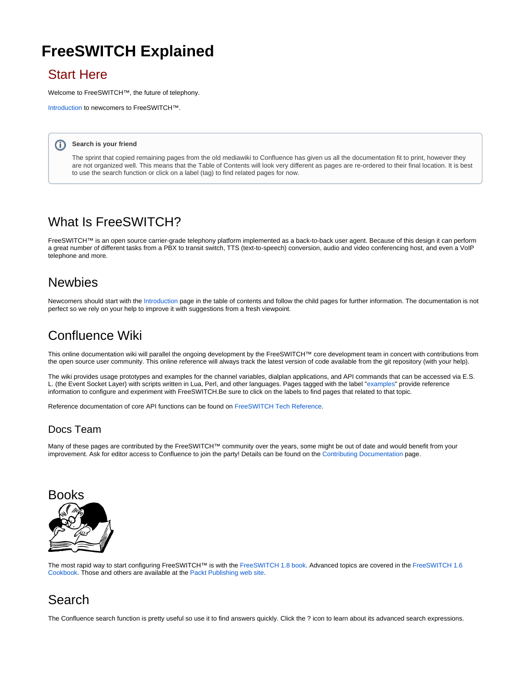# **FreeSWITCH Explained**

## Start Here

Welcome to FreeSWITCH<sup>™</sup>, the future of telephony.

[Introduction](https://freeswitch.org/confluence/display/FREESWITCH/Introduction) to newcomers to FreeSWITCH™.

#### **Search is your friend** G)

The sprint that copied remaining pages from the old mediawiki to Confluence has given us all the documentation fit to print, however they are not organized well. This means that the Table of Contents will look very different as pages are re-ordered to their final location. It is best to use the search function or click on a label (tag) to find related pages for now.

## What Is FreeSWITCH?

FreeSWITCH™ is an open source carrier-grade telephony platform implemented as a back-to-back user agent. Because of this design it can perform a great number of different tasks from a PBX to transit switch, TTS (text-to-speech) conversion, audio and video conferencing host, and even a VoIP telephone and more.

## **Newbies**

Newcomers should start with the [Introduction](https://freeswitch.org/confluence/display/FREESWITCH/Introduction) page in the table of contents and follow the child pages for further information. The documentation is not perfect so we rely on your help to improve it with suggestions from a fresh viewpoint.

# Confluence Wiki

This online documentation wiki will parallel the ongoing development by the FreeSWITCH™ core development team in concert with contributions from the open source user community. This online reference will always track the latest version of code available from the git repository (with your help).

The wiki provides usage prototypes and examples for the channel variables, dialplan applications, and API commands that can be accessed via E.S. L. (the Event Socket Layer) with scripts written in Lua, Perl, and other languages. Pages tagged with the label ["examples](https://freeswitch.org/confluence/label/FREESWITCH/examples)" provide reference information to configure and experiment with FreeSWITCH.Be sure to click on the labels to find pages that related to that topic.

Reference documentation of core API functions can be found on [FreeSWITCH Tech Reference](http://docs.freeswitch.org/).

#### Docs Team

Many of these pages are contributed by the FreeSWITCH™ community over the years, some might be out of date and would benefit from your improvement. Ask for editor access to Confluence to join the party! Details can be found on the [Contributing Documentation](https://freeswitch.org/confluence/display/FREESWITCH/Contributing+Documentation) page.



The most rapid way to start configuring FreeSWITCH™ is with the [FreeSWITCH 1.8 book.](https://www.packtpub.com/product/freeswitch-1-8/9781785889134) Advanced topics are covered in the [FreeSWITCH 1.6](https://www.packtpub.com/product/freeswitch-1-6-cookbook/9781785280917)  [Cookbook](https://www.packtpub.com/product/freeswitch-1-6-cookbook/9781785280917). Those and others are available at the [Packt Publishing web site](https://www.packtpub.com/catalogsearch/result/?q=freeswitch).

# Search

The Confluence search function is pretty useful so use it to find answers quickly. Click the ? icon to learn about its advanced search expressions.